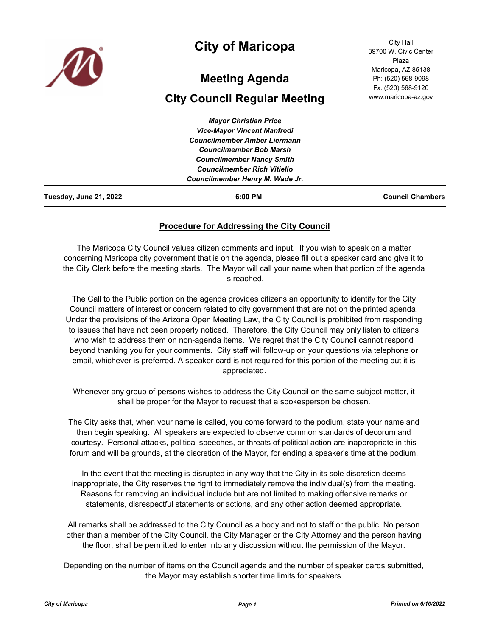

## **City of Maricopa**

# **Meeting Agenda**

## **City Council Regular Meeting**

*Mayor Christian Price Vice-Mayor Vincent Manfredi Councilmember Amber Liermann Councilmember Bob Marsh Councilmember Nancy Smith Councilmember Rich Vitiello Councilmember Henry M. Wade Jr.* **Tuesday, June 21, 2022 6:00 PM Council Chambers**

### **Procedure for Addressing the City Council**

The Maricopa City Council values citizen comments and input. If you wish to speak on a matter concerning Maricopa city government that is on the agenda, please fill out a speaker card and give it to the City Clerk before the meeting starts. The Mayor will call your name when that portion of the agenda is reached.

The Call to the Public portion on the agenda provides citizens an opportunity to identify for the City Council matters of interest or concern related to city government that are not on the printed agenda. Under the provisions of the Arizona Open Meeting Law, the City Council is prohibited from responding to issues that have not been properly noticed. Therefore, the City Council may only listen to citizens who wish to address them on non-agenda items. We regret that the City Council cannot respond beyond thanking you for your comments. City staff will follow-up on your questions via telephone or email, whichever is preferred. A speaker card is not required for this portion of the meeting but it is appreciated.

Whenever any group of persons wishes to address the City Council on the same subject matter, it shall be proper for the Mayor to request that a spokesperson be chosen.

The City asks that, when your name is called, you come forward to the podium, state your name and then begin speaking. All speakers are expected to observe common standards of decorum and courtesy. Personal attacks, political speeches, or threats of political action are inappropriate in this forum and will be grounds, at the discretion of the Mayor, for ending a speaker's time at the podium.

In the event that the meeting is disrupted in any way that the City in its sole discretion deems inappropriate, the City reserves the right to immediately remove the individual(s) from the meeting. Reasons for removing an individual include but are not limited to making offensive remarks or statements, disrespectful statements or actions, and any other action deemed appropriate.

All remarks shall be addressed to the City Council as a body and not to staff or the public. No person other than a member of the City Council, the City Manager or the City Attorney and the person having the floor, shall be permitted to enter into any discussion without the permission of the Mayor.

Depending on the number of items on the Council agenda and the number of speaker cards submitted, the Mayor may establish shorter time limits for speakers.

City Hall 39700 W. Civic Center Plaza Maricopa, AZ 85138 Ph: (520) 568-9098 Fx: (520) 568-9120 www.maricopa-az.gov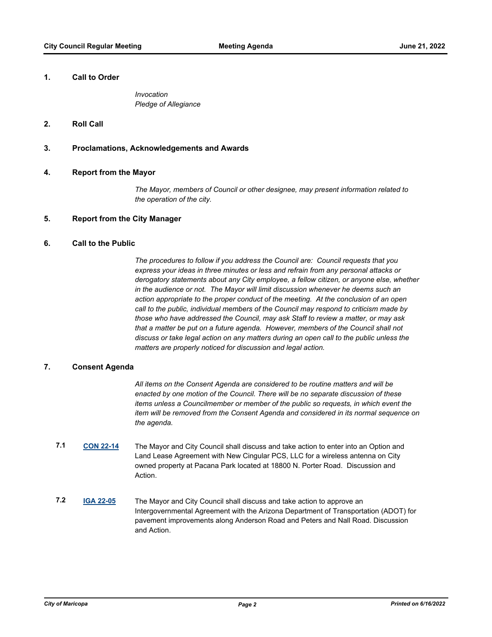#### **1. Call to Order**

*Invocation Pledge of Allegiance*

#### **2. Roll Call**

#### **3. Proclamations, Acknowledgements and Awards**

#### **4. Report from the Mayor**

*The Mayor, members of Council or other designee, may present information related to the operation of the city.*

#### **5. Report from the City Manager**

### **6. Call to the Public**

*The procedures to follow if you address the Council are: Council requests that you express your ideas in three minutes or less and refrain from any personal attacks or derogatory statements about any City employee, a fellow citizen, or anyone else, whether in the audience or not. The Mayor will limit discussion whenever he deems such an action appropriate to the proper conduct of the meeting. At the conclusion of an open call to the public, individual members of the Council may respond to criticism made by those who have addressed the Council, may ask Staff to review a matter, or may ask that a matter be put on a future agenda. However, members of the Council shall not discuss or take legal action on any matters during an open call to the public unless the matters are properly noticed for discussion and legal action.*

#### **7. Consent Agenda**

*All items on the Consent Agenda are considered to be routine matters and will be enacted by one motion of the Council. There will be no separate discussion of these items unless a Councilmember or member of the public so requests, in which event the item will be removed from the Consent Agenda and considered in its normal sequence on the agenda.*

- **7.1 [CON 22-14](http://maricopa.legistar.com/gateway.aspx?m=l&id=/matter.aspx?key=11139)** The Mayor and City Council shall discuss and take action to enter into an Option and Land Lease Agreement with New Cingular PCS, LLC for a wireless antenna on City owned property at Pacana Park located at 18800 N. Porter Road. Discussion and Action.
- **7.2 [IGA 22-05](http://maricopa.legistar.com/gateway.aspx?m=l&id=/matter.aspx?key=11179)** The Mayor and City Council shall discuss and take action to approve an Intergovernmental Agreement with the Arizona Department of Transportation (ADOT) for pavement improvements along Anderson Road and Peters and Nall Road. Discussion and Action.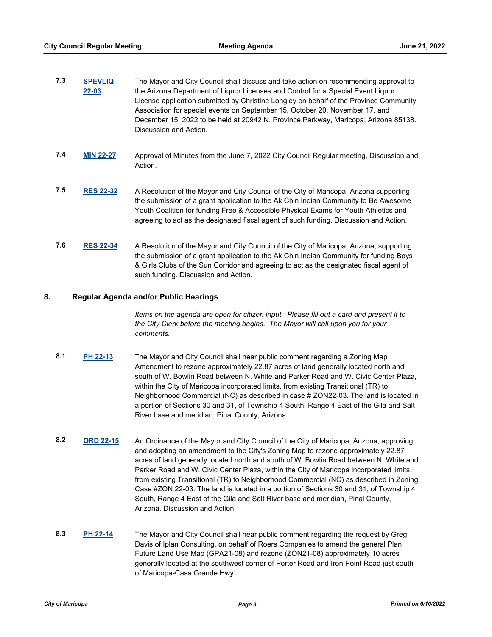| <b>SPEVLIQ</b> | The Mayor and City Council shall discuss and take action on recommending approval to   |
|----------------|----------------------------------------------------------------------------------------|
| $22 - 03$      | the Arizona Department of Liquor Licenses and Control for a Special Event Liquor       |
|                | License application submitted by Christine Longley on behalf of the Province Community |
|                | Association for special events on September 15, October 20, November 17, and           |
|                | December 15, 2022 to be held at 20942 N. Province Parkway, Maricopa, Arizona 85138.    |
|                | Discussion and Action.                                                                 |
|                |                                                                                        |

- **7.4 [MIN 22-27](http://maricopa.legistar.com/gateway.aspx?m=l&id=/matter.aspx?key=11334)** Approval of Minutes from the June 7, 2022 City Council Regular meeting. Discussion and Action.
- **7.5 [RES 22-32](http://maricopa.legistar.com/gateway.aspx?m=l&id=/matter.aspx?key=11304)** A Resolution of the Mayor and City Council of the City of Maricopa, Arizona supporting the submission of a grant application to the Ak Chin Indian Community to Be Awesome Youth Coalition for funding Free & Accessible Physical Exams for Youth Athletics and agreeing to act as the designated fiscal agent of such funding. Discussion and Action.
- **7.6 [RES 22-34](http://maricopa.legistar.com/gateway.aspx?m=l&id=/matter.aspx?key=11309)** A Resolution of the Mayor and City Council of the City of Maricopa, Arizona, supporting the submission of a grant application to the Ak Chin Indian Community for funding Boys & Girls Clubs of the Sun Corridor and agreeing to act as the designated fiscal agent of such funding. Discussion and Action.

#### **8. Regular Agenda and/or Public Hearings**

*Items on the agenda are open for citizen input. Please fill out a card and present it to the City Clerk before the meeting begins. The Mayor will call upon you for your comments.*

- **8.1 [PH 22-13](http://maricopa.legistar.com/gateway.aspx?m=l&id=/matter.aspx?key=11307)** The Mayor and City Council shall hear public comment regarding a Zoning Map Amendment to rezone approximately 22.87 acres of land generally located north and south of W. Bowlin Road between N. White and Parker Road and W. Civic Center Plaza, within the City of Maricopa incorporated limits, from existing Transitional (TR) to Neighborhood Commercial (NC) as described in case # ZON22-03. The land is located in a portion of Sections 30 and 31, of Township 4 South, Range 4 East of the Gila and Salt River base and meridian, Pinal County, Arizona.
- **8.2 [ORD 22-15](http://maricopa.legistar.com/gateway.aspx?m=l&id=/matter.aspx?key=11308)** An Ordinance of the Mayor and City Council of the City of Maricopa, Arizona, approving and adopting an amendment to the City's Zoning Map to rezone approximately 22.87 acres of land generally located north and south of W. Bowlin Road between N. White and Parker Road and W. Civic Center Plaza, within the City of Maricopa incorporated limits, from existing Transitional (TR) to Neighborhood Commercial (NC) as described in Zoning Case #ZON 22-03. The land is located in a portion of Sections 30 and 31, of Township 4 South, Range 4 East of the Gila and Salt River base and meridian, Pinal County, Arizona. Discussion and Action.
- **8.3 [PH 22-14](http://maricopa.legistar.com/gateway.aspx?m=l&id=/matter.aspx?key=11312)** The Mayor and City Council shall hear public comment regarding the request by Greg Davis of Iplan Consulting, on behalf of Roers Companies to amend the general Plan Future Land Use Map (GPA21-08) and rezone (ZON21-08) approximately 10 acres generally located at the southwest corner of Porter Road and Iron Point Road just south of Maricopa-Casa Grande Hwy.